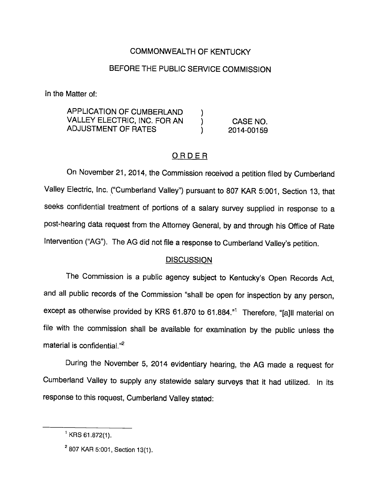## COMMONWEALTH OF KENTUCKY

## BEFORE THE PUBLIC SERVICE COMMISSION

In the Matter of:

APPLICATION OF CUMBERLAND ) VALLEY ELECTRIC, INC. FOR AN ) CASE NO. ADJUSTMENT OF RATES  $(2014-00159)$ 

## ORDER

On November 21, 2014, the Commission received a petition filed by Cumberland Valley Electric, Inc. ("Cumberland Valley") pursuant to 807 KAR 5:001, Section 13, that seeks confidential treatment of portions of a salary survey supplied in response to a post-hearing data request from the Attorney General, by and through his Office of Rate Intervention ("AG"). The AG did not file a response to Cumberland Valley's petition.

## **DISCUSSION**

The Commission is a public agency subject to Kentucky's Open Records Act, and all public records of the Commission "shall be open for inspection by any person, except as otherwise provided by KRS 61.870 to 61.884. $n<sup>1</sup>$  Therefore, "[a]ll material on file with the commission shall be available for examination by the public unless the material is confidential. $n^2$ 

During the November 5, 2014 evidentiary hearing, the AG made a request for Cumberland Valley to supply any statewide salary surveys that it had utilized. In its response to this request, Cumberland Valley stated:

 $<sup>1</sup>$  KRS 61.872(1).</sup>

 $^{2}$  807 KAR 5:001, Section 13(1).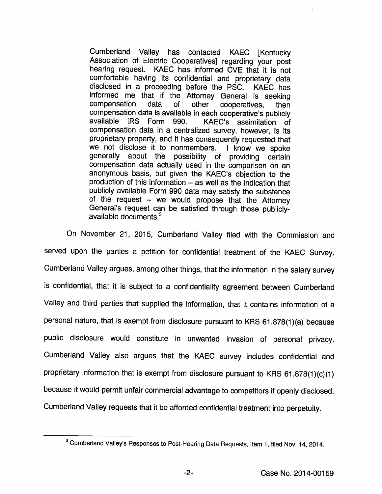Cumberland Valley has contacted KAEC [Kentucky Association of Electric Cooperatives] regarding your post hearing request. KAEC has informed CVE that it is not comfortable having its confidential and proprietary data disclosed in a proceeding before the PSC. KAEC has informed me that if the Attorney General is seeking compensation data of other cooperatives, then compensation data is available in each cooperative's publicly available IRS Form 990. KAEC's assimilation of compensation data in a centralized survey, however, is its proprietary property, and it has consequently requested that we not disclose it to nonmembers. I know we spoke generally about the possibility of providing certain compensation data actually used in the comparison on an anonymous basis, but given the KAEC's objection to the production of this information  $-$  as well as the indication that publicly available Form 990 data may satisfy the substance of the request  $-$  we would propose that the Attorney General's request can be satisfied through those publiclyavailable documents. $3$ 

On November 21, 2015, Cumberland Valley filed with the Commission and served upon the parties a petition for confidential treatment of the KAEC Survey. Cumberland Valley argues, among other things, that the information in the salary survey is confidential, that it is subject to a confidentiality agreement between Cumberland Valley and third parties that supplied the information, that it contains information of a personal nature, that is exempt from disclosure pursuant to KRS 61.878(1)(a) because public disclosure would constitute in unwanted invasion of personal privacy. Cumberland Valley also argues that the KAEC survey includes confidential and proprietary information that is exempt from disclosure pursuant to KRS 61.878(1)(c)(1) because it would permit unfair commercial advantage to competitors if openly disclosed. Cumberland Valley requests that it be afforded confidential treatment into perpetuity.

 $^3$  Cumberland Valley's Responses to Post-Hearing Data Requests, Item 1, filed Nov. 14, 2014.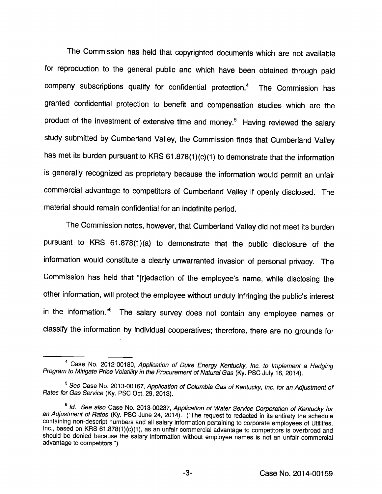The Commission has held that copyrighted documents which are not available for reproduction to the general public and which have been obtained through paid company subscriptions qualify for confidential protection.<sup>4</sup> The Commission has granted confidential protection to benefit and compensation studies which are the product of the investment of extensive time and money.<sup>5</sup> Having reviewed the salary study submitted by Cumberland Valley, the Commission finds that Cumberland Valley has met its burden pursuant to KRS 61.878(1)(c){1) to demonstrate that the information is generally recognized as proprietary because the information would permit an unfair commercial advantage to competitors of Cumberland Valley if openly disclosed. The material should remain confidential for an indefinite period.

The Commission notes, however, that Cumberland Valley did not meet its burden pursuant to KRS 61.878(1)(a) to demonstrate that the public disclosure of the information would constitute a clearly unwarranted invasion of personal privacy. The Commission has held that "[r]edaction of the employee's name, while disclosing the other information, will protect the employee without unduly infringing the public's interest in the information.<sup>"6</sup> The salary survey does not contain any employee names or classify the information by individual cooperatives; therefore, there are no grounds for

<sup>&</sup>lt;sup>4</sup> Case No. 2012-00180, Application of Duke Energy Kentucky, Inc. to Implement a Hedging Program to Mitigate Price Volatility in the Procurement of Natural Gas (Ky. PSC July 16, 2014).

<sup>&</sup>lt;sup>5</sup> See Case No. 2013-00167, Application of Columbia Gas of Kentucky, Inc. for an Adjustment of Rates for Gas Service (Ky. PSC Oct. 29, 2013).

<sup>®</sup>Id. See also Case No. 2013-00237, Application of Water Service Corporation of Kentucky for an Adjustment of Rates (Ky. PSC June 24, 2014). ("The request to redacted in its entirety the schedule containing non-descript numbers and all salary information pertaining to corporate employees of Utilities, Inc., based on KRS 61.878(1)(c)(1), as an unfair commercial advantage to competitors is overbroad and should be denied because the salary information without employee names is not an unfair commercial advantage to competitors.")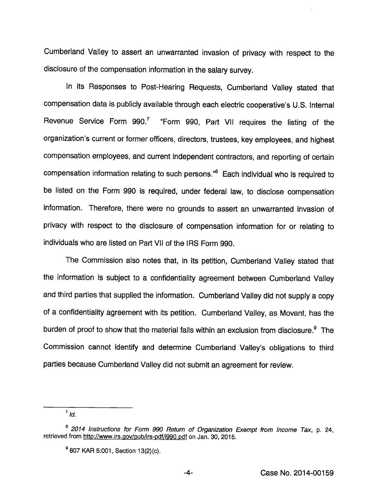Cumberland Valley to assert an unwarranted Invasion of privacy with respect to the disclosure of the compensation information in the salary survey.

in its Responses to Post-Hearing Requests, Cumberland Valley stated that compensation data is publicly available through each electric cooperative's U.S. Internal Revenue Service Form 990.<sup>7</sup> "Form 990, Part VII requires the listing of the organization's current or former officers, directors, trustees, key employees, and highest compensation employees, and current independent contractors, and reporting of certain compensation information relating to such persons."<sup>8</sup> Each individual who is required to be listed on the Form 990 is required, under federal law, to disclose compensation information. Therefore, there were no grounds to assert an unwarranted invasion of privacy with respect to the disclosure of compensation infomnation for or relating to individuals who are listed on Part VII of the IRS Form 990.

The Commission also notes that, in its petition, Cumberland Valley stated that the information is subject to a confidentiality agreement between Cumberland Valley and third parties that supplied the information. Cumberland Valley did not supply a copy of a confidentiality agreement with its petition. Cumberland Valley, as Movant, has the burden of proof to show that the material falls within an exclusion from disclosure.<sup>9</sup> The Commission cannot identify and determine Cumberland Valley's obligations to third parties because Cumberland Valley did not submit an agreement for review.

 $^7$  Id.

<sup>&</sup>lt;sup>8</sup> 2014 Instructions for Form 990 Return of Organization Exempt from Income Tax, p. 24, retrieved from http://www.irs.gov/pub/irs-pdf/i990.pdf on Jan. 30, 2015.

<sup>®807</sup> KAR 5:001, Section 13(2)(c).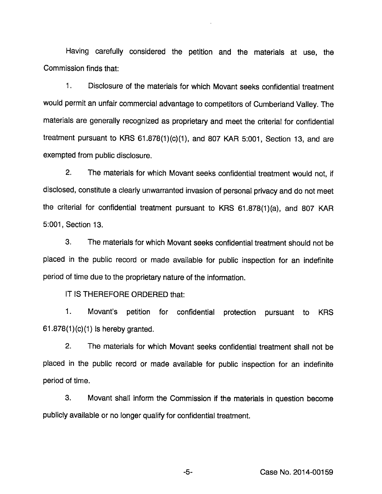Having carefully considered the petition and the materials at use, the Commission finds that:

1. Disclosure of the materials for which Movant seeks confidential treatment would permit an unfair commercial advantage to competitors of Cumberland Valley. The materials are generally recognized as proprietary and meet the criteria! for confidential treatment pursuant to KRS 61.878(1)(c)(1), and 807 KAR 5:001, Section 13, and are exempted from public disclosure.

2. The materials for which Movant seeks confidential treatment would not. If disclosed, constitute a clearly unwarranted invasion of personal privacy and do not meet the criterial for confidential treatment pursuant to KRS 61.878(1)(a), and 807 KAR 5:001, Section 13.

3. The materials for which Movant seeks confidential treatment should not be placed in the public record or made available for public inspection for an indefinite period of time due to the proprietary nature of the information.

IT IS THEREFORE ORDERED that:

1. Movant's petition for confidential protection pursuant to KRS  $61.878(1)(c)(1)$  is hereby granted.

2. The materials for which Movant seeks confidential treatment shall not be placed in the public record or made available for public inspection for an indefinite period of time.

3. Movant shall inform the Commission if the materials in question become publicly available or no longer qualify for confidential treatment.

-5- Case No. 2014-00159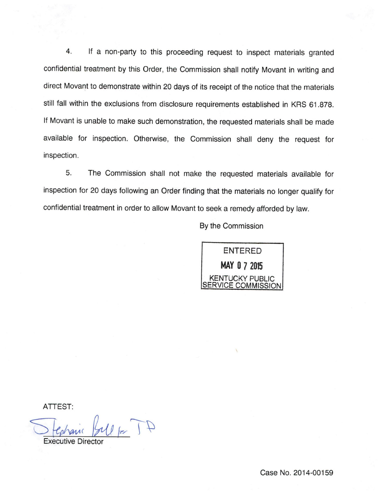4. If a non-party to this proceeding request to inspect materials granted confidential treatment by this Order, the Commission shall notify Movant in writing and direct Movant to demonstrate within 20 days of its receipt of the notice that the materials still fall within the exclusions from disclosure requirements established in KRS 61.878. If Movant is unable to make such demonstration, the requested materials shall be made available for inspection. Otherwise, the Commission shall deny the request for inspection.

5. The Commission shall not make the requested materials available for inspection for 20 days following an Order finding that the materials no longer qualify for confidential treatment in order to allow Movant to seek a remedy afforded by law.

By the Commission



ATTEST:

 $41$  of  $M$ 

Executive Director